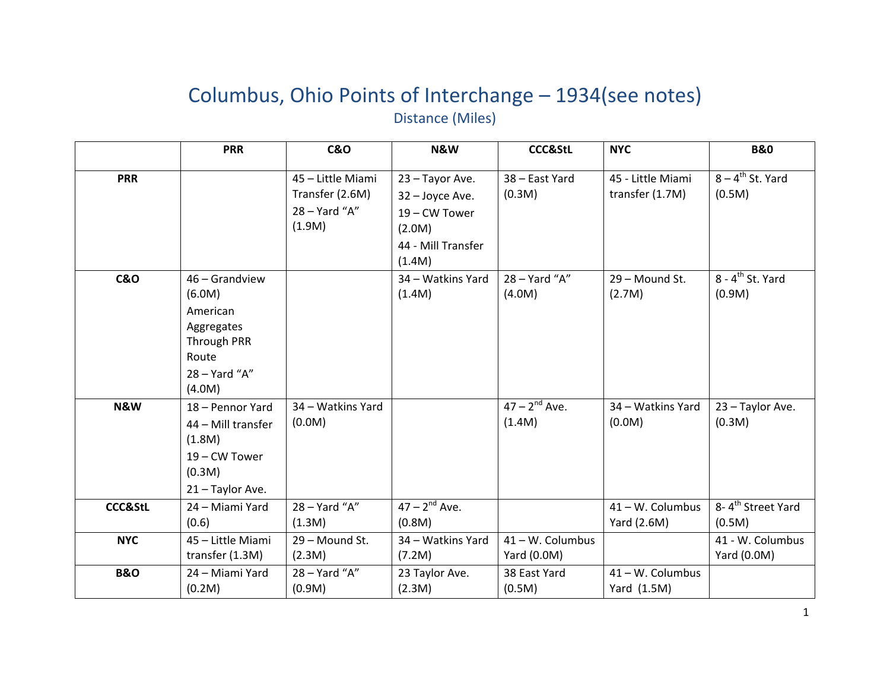## Columbus, Ohio Points of Interchange – 1934(see notes) Distance (Miles)

|                    | <b>PRR</b>                                                                                                   | <b>C&amp;O</b>                                                  | N&W                                                                                           | <b>CCC&amp;StL</b>              | <b>NYC</b>                           | <b>B&amp;O</b>                           |
|--------------------|--------------------------------------------------------------------------------------------------------------|-----------------------------------------------------------------|-----------------------------------------------------------------------------------------------|---------------------------------|--------------------------------------|------------------------------------------|
| <b>PRR</b>         |                                                                                                              | 45 - Little Miami<br>Transfer (2.6M)<br>28 - Yard "A"<br>(1.9M) | 23 - Tayor Ave.<br>32 - Joyce Ave.<br>19 – CW Tower<br>(2.0M)<br>44 - Mill Transfer<br>(1.4M) | 38 - East Yard<br>(0.3M)        | 45 - Little Miami<br>transfer (1.7M) | $8 - 4$ <sup>th</sup> St. Yard<br>(0.5M) |
| <b>C&amp;O</b>     | 46 - Grandview<br>(6.0M)<br>American<br>Aggregates<br><b>Through PRR</b><br>Route<br>28 - Yard "A"<br>(4.0M) |                                                                 | 34 - Watkins Yard<br>(1.4M)                                                                   | 28 - Yard "A"<br>(4.0M)         | 29 - Mound St.<br>(2.7M)             | $8 - 4$ <sup>th</sup> St. Yard<br>(0.9M) |
| N&W                | 18 - Pennor Yard<br>44 - Mill transfer<br>(1.8M)<br>19 – CW Tower<br>(0.3M)<br>21 - Taylor Ave.              | 34 - Watkins Yard<br>(0.0M)                                     |                                                                                               | $47 - 2^{nd}$ Ave.<br>(1.4M)    | 34 - Watkins Yard<br>(0.0M)          | 23 - Taylor Ave.<br>(0.3M)               |
| <b>CCC&amp;StL</b> | 24 - Miami Yard<br>(0.6)                                                                                     | 28 - Yard "A"<br>(1.3M)                                         | $47 - 2^{nd}$ Ave.<br>(0.8M)                                                                  |                                 | 41 - W. Columbus<br>Yard (2.6M)      | 8-4 <sup>th</sup> Street Yard<br>(0.5M)  |
| <b>NYC</b>         | 45 - Little Miami<br>transfer (1.3M)                                                                         | 29 - Mound St.<br>(2.3M)                                        | 34 - Watkins Yard<br>(7.2M)                                                                   | 41 - W. Columbus<br>Yard (0.0M) |                                      | 41 - W. Columbus<br>Yard (0.0M)          |
| <b>B&amp;O</b>     | 24 - Miami Yard<br>(0.2M)                                                                                    | $28 - Yard''A''$<br>(0.9M)                                      | 23 Taylor Ave.<br>(2.3M)                                                                      | 38 East Yard<br>(0.5M)          | 41 - W. Columbus<br>Yard (1.5M)      |                                          |